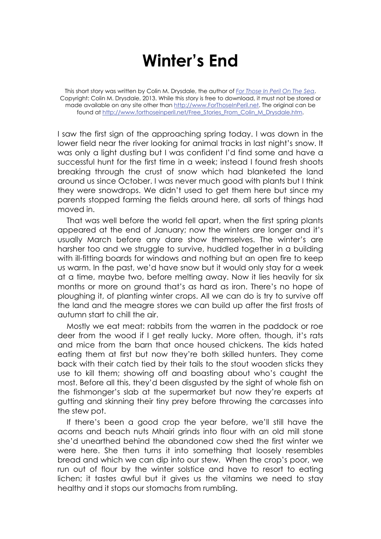## **Winter's End**

This short story was written by Colin M. Drysdale, the author of *For Those In Peril On The Sea*. Copyright: Colin M. Drysdale, 2013. While this story is free to download, it must not be stored or made available on any site other than http://www.ForThoseInPeril.net. The original can be found at http://www.forthoseinperil.net/Free\_Stories\_From\_Colin\_M\_Drysdale.htm.

I saw the first sign of the approaching spring today. I was down in the lower field near the river looking for animal tracks in last night's snow. It was only a light dusting but I was confident I'd find some and have a successful hunt for the first time in a week; instead I found fresh shoots breaking through the crust of snow which had blanketed the land around us since October. I was never much good with plants but I think they were snowdrops. We didn't used to get them here but since my parents stopped farming the fields around here, all sorts of things had moved in.

That was well before the world fell apart, when the first spring plants appeared at the end of January; now the winters are longer and it's usually March before any dare show themselves. The winter's are harsher too and we struggle to survive, huddled together in a building with ill-fitting boards for windows and nothing but an open fire to keep us warm. In the past, we'd have snow but it would only stay for a week at a time, maybe two, before melting away. Now it lies heavily for six months or more on ground that's as hard as iron. There's no hope of ploughing it, of planting winter crops. All we can do is try to survive off the land and the meagre stores we can build up after the first frosts of autumn start to chill the air.

Mostly we eat meat: rabbits from the warren in the paddock or roe deer from the wood if I get really lucky. More often, though, it's rats and mice from the barn that once housed chickens. The kids hated eating them at first but now they're both skilled hunters. They come back with their catch tied by their tails to the stout wooden sticks they use to kill them; showing off and boasting about who's caught the most. Before all this, they'd been disgusted by the sight of whole fish on the fishmonger's slab at the supermarket but now they're experts at gutting and skinning their tiny prey before throwing the carcasses into the stew pot.

If there's been a good crop the year before, we'll still have the acorns and beach nuts Mhairi grinds into flour with an old mill stone she'd unearthed behind the abandoned cow shed the first winter we were here. She then turns it into something that loosely resembles bread and which we can dip into our stew. When the crop's poor, we run out of flour by the winter solstice and have to resort to eating lichen; it tastes awful but it gives us the vitamins we need to stay healthy and it stops our stomachs from rumbling.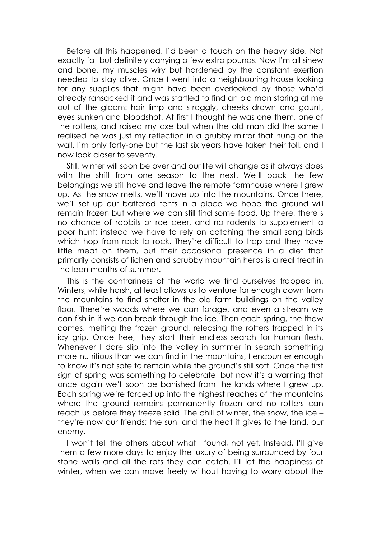Before all this happened, I'd been a touch on the heavy side. Not exactly fat but definitely carrying a few extra pounds. Now I'm all sinew and bone, my muscles wiry but hardened by the constant exertion needed to stay alive. Once I went into a neighbouring house looking for any supplies that might have been overlooked by those who'd already ransacked it and was startled to find an old man staring at me out of the gloom: hair limp and straggly, cheeks drawn and gaunt, eyes sunken and bloodshot. At first I thought he was one them, one of the rotters, and raised my axe but when the old man did the same I realised he was just my reflection in a grubby mirror that hung on the wall. I'm only forty-one but the last six years have taken their toll, and I now look closer to seventy.

Still, winter will soon be over and our life will change as it always does with the shift from one season to the next. We'll pack the few belongings we still have and leave the remote farmhouse where I grew up. As the snow melts, we'll move up into the mountains. Once there, we'll set up our battered tents in a place we hope the ground will remain frozen but where we can still find some food. Up there, there's no chance of rabbits or roe deer, and no rodents to supplement a poor hunt; instead we have to rely on catching the small song birds which hop from rock to rock. They're difficult to trap and they have little meat on them, but their occasional presence in a diet that primarily consists of lichen and scrubby mountain herbs is a real treat in the lean months of summer.

This is the contrariness of the world we find ourselves trapped in. Winters, while harsh, at least allows us to venture far enough down from the mountains to find shelter in the old farm buildings on the valley floor. There're woods where we can forage, and even a stream we can fish in if we can break through the ice. Then each spring, the thaw comes, melting the frozen ground, releasing the rotters trapped in its icy grip. Once free, they start their endless search for human flesh. Whenever I dare slip into the valley in summer in search something more nutritious than we can find in the mountains, I encounter enough to know it's not safe to remain while the ground's still soft. Once the first sign of spring was something to celebrate, but now it's a warning that once again we'll soon be banished from the lands where I grew up. Each spring we're forced up into the highest reaches of the mountains where the ground remains permanently frozen and no rotters can reach us before they freeze solid. The chill of winter, the snow, the ice – they're now our friends; the sun, and the heat it gives to the land, our enemy.

I won't tell the others about what I found, not yet. Instead, I'll give them a few more days to enjoy the luxury of being surrounded by four stone walls and all the rats they can catch. I'll let the happiness of winter, when we can move freely without having to worry about the